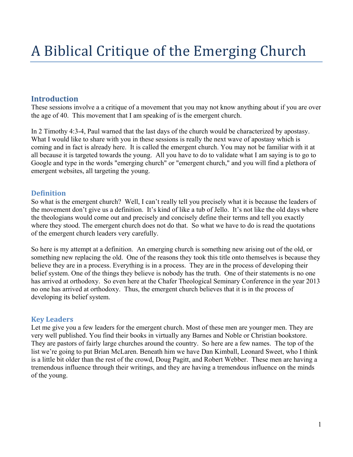# **Introduction**

These sessions involve a a critique of a movement that you may not know anything about if you are over the age of 40. This movement that I am speaking of is the emergent church.

In 2 Timothy 4:3-4, Paul warned that the last days of the church would be characterized by apostasy. What I would like to share with you in these sessions is really the next wave of apostasy which is coming and in fact is already here. It is called the emergent church. You may not be familiar with it at all because it is targeted towards the young. All you have to do to validate what I am saying is to go to Google and type in the words "emerging church" or "emergent church," and you will find a plethora of emergent websites, all targeting the young.

### **Definition**

So what is the emergent church? Well, I can't really tell you precisely what it is because the leaders of the movement don't give us a definition. It's kind of like a tub of Jello. It's not like the old days where the theologians would come out and precisely and concisely define their terms and tell you exactly where they stood. The emergent church does not do that. So what we have to do is read the quotations of the emergent church leaders very carefully.

So here is my attempt at a definition. An emerging church is something new arising out of the old, or something new replacing the old. One of the reasons they took this title onto themselves is because they believe they are in a process. Everything is in a process. They are in the process of developing their belief system. One of the things they believe is nobody has the truth. One of their statements is no one has arrived at orthodoxy. So even here at the Chafer Theological Seminary Conference in the year 2013 no one has arrived at orthodoxy. Thus, the emergent church believes that it is in the process of developing its belief system.

# **Key Leaders**

Let me give you a few leaders for the emergent church. Most of these men are younger men. They are very well published. You find their books in virtually any Barnes and Noble or Christian bookstore. They are pastors of fairly large churches around the country. So here are a few names. The top of the list we're going to put Brian McLaren. Beneath him we have Dan Kimball, Leonard Sweet, who I think is a little bit older than the rest of the crowd, Doug Pagitt, and Robert Webber. These men are having a tremendous influence through their writings, and they are having a tremendous influence on the minds of the young.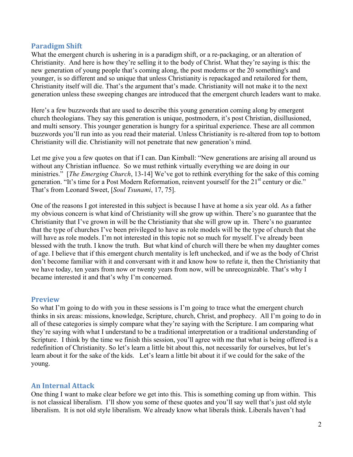### **Paradigm Shift**

What the emergent church is ushering in is a paradigm shift, or a re-packaging, or an alteration of Christianity. And here is how they're selling it to the body of Christ. What they're saying is this: the new generation of young people that's coming along, the post moderns or the 20 something's and younger, is so different and so unique that unless Christianity is repackaged and retailored for them, Christianity itself will die. That's the argument that's made. Christianity will not make it to the next generation unless these sweeping changes are introduced that the emergent church leaders want to make.

Here's a few buzzwords that are used to describe this young generation coming along by emergent church theologians. They say this generation is unique, postmodern, it's post Christian, disillusioned, and multi sensory. This younger generation is hungry for a spiritual experience. These are all common buzzwords you'll run into as you read their material. Unless Christianity is re-altered from top to bottom Christianity will die. Christianity will not penetrate that new generation's mind.

Let me give you a few quotes on that if I can. Dan Kimball: "New generations are arising all around us without any Christian influence. So we must rethink virtually everything we are doing in our ministries." [*The Emerging Church*, 13-14] We've got to rethink everything for the sake of this coming generation. "It's time for a Post Modern Reformation, reinvent yourself for the 21<sup>st</sup> century or die." That's from Leonard Sweet, [*Soul Tsunami*, 17, 75].

One of the reasons I got interested in this subject is because I have at home a six year old. As a father my obvious concern is what kind of Christianity will she grow up within. There's no guarantee that the Christianity that I've grown in will be the Christianity that she will grow up in. There's no guarantee that the type of churches I've been privileged to have as role models will be the type of church that she will have as role models. I'm not interested in this topic not so much for myself. I've already been blessed with the truth. I know the truth. But what kind of church will there be when my daughter comes of age. I believe that if this emergent church mentality is left unchecked, and if we as the body of Christ don't become familiar with it and conversant with it and know how to refute it, then the Christianity that we have today, ten years from now or twenty years from now, will be unrecognizable. That's why I became interested it and that's why I'm concerned.

### **Preview**

So what I'm going to do with you in these sessions is I'm going to trace what the emergent church thinks in six areas: missions, knowledge, Scripture, church, Christ, and prophecy. All I'm going to do in all of these categories is simply compare what they're saying with the Scripture. I am comparing what they're saying with what I understand to be a traditional interpretation or a traditional understanding of Scripture. I think by the time we finish this session, you'll agree with me that what is being offered is a redefinition of Christianity. So let's learn a little bit about this, not necessarily for ourselves, but let's learn about it for the sake of the kids. Let's learn a little bit about it if we could for the sake of the young.

### **An Internal Attack**

One thing I want to make clear before we get into this. This is something coming up from within. This is not classical liberalism. I'll show you some of these quotes and you'll say well that's just old style liberalism. It is not old style liberalism. We already know what liberals think. Liberals haven't had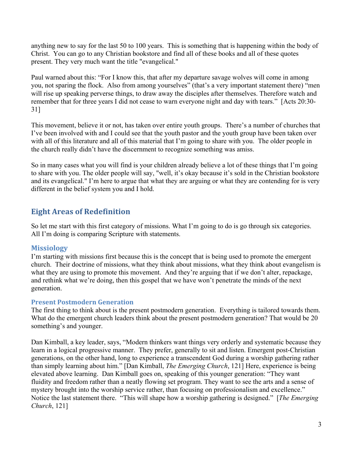anything new to say for the last 50 to 100 years. This is something that is happening within the body of Christ. You can go to any Christian bookstore and find all of these books and all of these quotes present. They very much want the title "evangelical."

Paul warned about this: "For I know this, that after my departure savage wolves will come in among you, not sparing the flock. Also from among yourselves" (that's a very important statement there) "men will rise up speaking perverse things, to draw away the disciples after themselves. Therefore watch and remember that for three years I did not cease to warn everyone night and day with tears." [Acts 20:30- 31]

This movement, believe it or not, has taken over entire youth groups. There's a number of churches that I've been involved with and I could see that the youth pastor and the youth group have been taken over with all of this literature and all of this material that I'm going to share with you. The older people in the church really didn't have the discernment to recognize something was amiss.

So in many cases what you will find is your children already believe a lot of these things that I'm going to share with you. The older people will say, "well, it's okay because it's sold in the Christian bookstore and its evangelical." I'm here to argue that what they are arguing or what they are contending for is very different in the belief system you and I hold.

# **Eight Areas of Redefinition**

So let me start with this first category of missions. What I'm going to do is go through six categories. All I'm doing is comparing Scripture with statements.

### **Missiology**

I'm starting with missions first because this is the concept that is being used to promote the emergent church. Their doctrine of missions, what they think about missions, what they think about evangelism is what they are using to promote this movement. And they're arguing that if we don't alter, repackage, and rethink what we're doing, then this gospel that we have won't penetrate the minds of the next generation.

### **Present Postmodern Generation**

The first thing to think about is the present postmodern generation. Everything is tailored towards them. What do the emergent church leaders think about the present postmodern generation? That would be 20 something's and younger.

Dan Kimball, a key leader, says, "Modern thinkers want things very orderly and systematic because they learn in a logical progressive manner. They prefer, generally to sit and listen. Emergent post-Christian generations, on the other hand, long to experience a transcendent God during a worship gathering rather than simply learning about him." [Dan Kimball, *The Emerging Church*, 121] Here, experience is being elevated above learning. Dan Kimball goes on, speaking of this younger generation: "They want fluidity and freedom rather than a neatly flowing set program. They want to see the arts and a sense of mystery brought into the worship service rather, than focusing on professionalism and excellence." Notice the last statement there. "This will shape how a worship gathering is designed." [*The Emerging Church*, 121]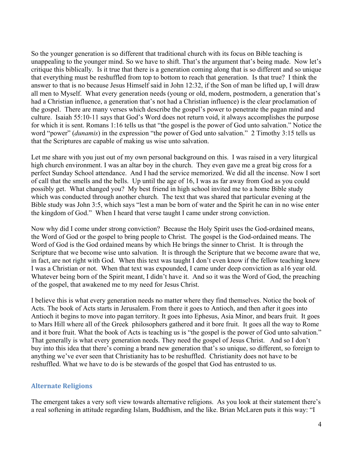So the younger generation is so different that traditional church with its focus on Bible teaching is unappealing to the younger mind. So we have to shift. That's the argument that's being made. Now let's critique this biblically. Is it true that there is a generation coming along that is so different and so unique that everything must be reshuffled from top to bottom to reach that generation. Is that true? I think the answer to that is no because Jesus Himself said in John 12:32, if the Son of man be lifted up, I will draw all men to Myself. What every generation needs (young or old, modern, postmodern, a generation that's had a Christian influence, a generation that's not had a Christian influence) is the clear proclamation of the gospel. There are many verses which describe the gospel's power to penetrate the pagan mind and culture. Isaiah 55:10-11 says that God's Word does not return void, it always accomplishes the purpose for which it is sent. Romans 1:16 tells us that "the gospel is the power of God unto salvation." Notice the word "power" (*dunamis*) in the expression "the power of God unto salvation." 2 Timothy 3:15 tells us that the Scriptures are capable of making us wise unto salvation.

Let me share with you just out of my own personal background on this. I was raised in a very liturgical high church environment. I was an altar boy in the church. They even gave me a great big cross for a perfect Sunday School attendance. And I had the service memorized. We did all the incense. Now I sort of call that the smells and the bells. Up until the age of 16, I was as far away from God as you could possibly get. What changed you? My best friend in high school invited me to a home Bible study which was conducted through another church. The text that was shared that particular evening at the Bible study was John 3:5, which says "lest a man be born of water and the Spirit he can in no wise enter the kingdom of God." When I heard that verse taught I came under strong conviction.

Now why did I come under strong conviction? Because the Holy Spirit uses the God-ordained means, the Word of God or the gospel to bring people to Christ. The gospel is the God-ordained means. The Word of God is the God ordained means by which He brings the sinner to Christ. It is through the Scripture that we become wise unto salvation. It is through the Scripture that we become aware that we, in fact, are not right with God. When this text was taught I don't even know if the fellow teaching knew I was a Christian or not. When that text was expounded, I came under deep conviction as a16 year old. Whatever being born of the Spirit meant, I didn't have it. And so it was the Word of God, the preaching of the gospel, that awakened me to my need for Jesus Christ.

I believe this is what every generation needs no matter where they find themselves. Notice the book of Acts. The book of Acts starts in Jerusalem. From there it goes to Antioch, and then after it goes into Antioch it begins to move into pagan territory. It goes into Ephesus, Asia Minor, and bears fruit. It goes to Mars Hill where all of the Greek philosophers gathered and it bore fruit. It goes all the way to Rome and it bore fruit. What the book of Acts is teaching us is "the gospel is the power of God unto salvation." That generally is what every generation needs. They need the gospel of Jesus Christ. And so I don't buy into this idea that there's coming a brand new generation that's so unique, so different, so foreign to anything we've ever seen that Christianity has to be reshuffled. Christianity does not have to be reshuffled. What we have to do is be stewards of the gospel that God has entrusted to us.

### **Alternate Religions**

The emergent takes a very soft view towards alternative religions. As you look at their statement there's a real softening in attitude regarding Islam, Buddhism, and the like. Brian McLaren puts it this way: "I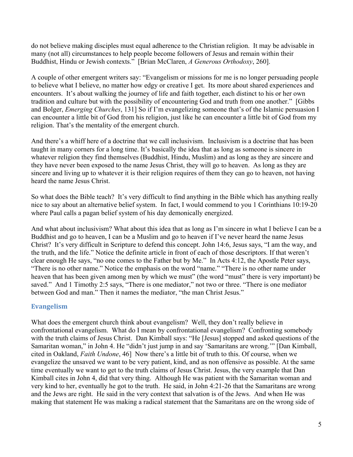do not believe making disciples must equal adherence to the Christian religion. It may be advisable in many (not all) circumstances to help people become followers of Jesus and remain within their Buddhist, Hindu or Jewish contexts." [Brian McClaren, *A Generous Orthodoxy*, 260].

A couple of other emergent writers say: "Evangelism or missions for me is no longer persuading people to believe what I believe, no matter how edgy or creative I get. Its more about shared experiences and encounters. It's about walking the journey of life and faith together, each distinct to his or her own tradition and culture but with the possibility of encountering God and truth from one another." [Gibbs and Bolger, *Emerging Churches*, 131] So if I'm evangelizing someone that's of the Islamic persuasion I can encounter a little bit of God from his religion, just like he can encounter a little bit of God from my religion. That's the mentality of the emergent church.

And there's a whiff here of a doctrine that we call inclusivism. Inclusivism is a doctrine that has been taught in many corners for a long time. It's basically the idea that as long as someone is sincere in whatever religion they find themselves (Buddhist, Hindu, Muslim) and as long as they are sincere and they have never been exposed to the name Jesus Christ, they will go to heaven. As long as they are sincere and living up to whatever it is their religion requires of them they can go to heaven, not having heard the name Jesus Christ.

So what does the Bible teach? It's very difficult to find anything in the Bible which has anything really nice to say about an alternative belief system. In fact, I would commend to you 1 Corinthians 10:19-20 where Paul calls a pagan belief system of his day demonically energized.

And what about inclusivism? What about this idea that as long as I'm sincere in what I believe I can be a Buddhist and go to heaven, I can be a Muslim and go to heaven if I've never heard the name Jesus Christ? It's very difficult in Scripture to defend this concept. John 14:6, Jesus says, "I am the way, and the truth, and the life." Notice the definite article in front of each of those descriptors. If that weren't clear enough He says, "no one comes to the Father but by Me." In Acts 4:12, the Apostle Peter says, "There is no other name." Notice the emphasis on the word "name." "There is no other name under heaven that has been given among men by which we must" (the word "must" there is very important) be saved." And 1 Timothy 2:5 says, "There is one mediator," not two or three. "There is one mediator between God and man." Then it names the mediator, "the man Christ Jesus."

### **Evangelism**

What does the emergent church think about evangelism? Well, they don't really believe in confrontational evangelism. What do I mean by confrontational evangelism? Confronting somebody with the truth claims of Jesus Christ. Dan Kimball says: "He [Jesus] stopped and asked questions of the Samaritan woman," in John 4. He "didn't just jump in and say 'Samaritans are wrong.'" [Dan Kimball, cited in Oakland, *Faith Undone*, 46] Now there's a little bit of truth to this. Of course, when we evangelize the unsaved we want to be very patient, kind, and as non offensive as possible. At the same time eventually we want to get to the truth claims of Jesus Christ. Jesus, the very example that Dan Kimball cites in John 4, did that very thing. Although He was patient with the Samaritan woman and very kind to her, eventually he got to the truth. He said, in John 4:21-26 that the Samaritans are wrong and the Jews are right. He said in the very context that salvation is of the Jews. And when He was making that statement He was making a radical statement that the Samaritans are on the wrong side of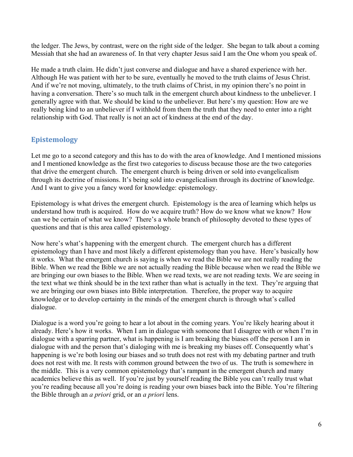the ledger. The Jews, by contrast, were on the right side of the ledger. She began to talk about a coming Messiah that she had an awareness of. In that very chapter Jesus said I am the One whom you speak of.

He made a truth claim. He didn't just converse and dialogue and have a shared experience with her. Although He was patient with her to be sure, eventually he moved to the truth claims of Jesus Christ. And if we're not moving, ultimately, to the truth claims of Christ, in my opinion there's no point in having a conversation. There's so much talk in the emergent church about kindness to the unbeliever. I generally agree with that. We should be kind to the unbeliever. But here's my question: How are we really being kind to an unbeliever if I withhold from them the truth that they need to enter into a right relationship with God. That really is not an act of kindness at the end of the day.

# **Epistemology**

Let me go to a second category and this has to do with the area of knowledge. And I mentioned missions and I mentioned knowledge as the first two categories to discuss because those are the two categories that drive the emergent church. The emergent church is being driven or sold into evangelicalism through its doctrine of missions. It's being sold into evangelicalism through its doctrine of knowledge. And I want to give you a fancy word for knowledge: epistemology.

Epistemology is what drives the emergent church. Epistemology is the area of learning which helps us understand how truth is acquired. How do we acquire truth? How do we know what we know? How can we be certain of what we know? There's a whole branch of philosophy devoted to these types of questions and that is this area called epistemology.

Now here's what's happening with the emergent church. The emergent church has a different epistemology than I have and most likely a different epistemology than you have. Here's basically how it works. What the emergent church is saying is when we read the Bible we are not really reading the Bible. When we read the Bible we are not actually reading the Bible because when we read the Bible we are bringing our own biases to the Bible. When we read texts, we are not reading texts. We are seeing in the text what we think should be in the text rather than what is actually in the text. They're arguing that we are bringing our own biases into Bible interpretation. Therefore, the proper way to acquire knowledge or to develop certainty in the minds of the emergent church is through what's called dialogue.

Dialogue is a word you're going to hear a lot about in the coming years. You're likely hearing about it already. Here's how it works. When I am in dialogue with someone that I disagree with or when I'm in dialogue with a sparring partner, what is happening is I am breaking the biases off the person I am in dialogue with and the person that's dialoging with me is breaking my biases off. Consequently what's happening is we're both losing our biases and so truth does not rest with my debating partner and truth does not rest with me. It rests with common ground between the two of us. The truth is somewhere in the middle. This is a very common epistemology that's rampant in the emergent church and many academics believe this as well. If you're just by yourself reading the Bible you can't really trust what you're reading because all you're doing is reading your own biases back into the Bible. You're filtering the Bible through an *a priori* grid, or an *a priori* lens.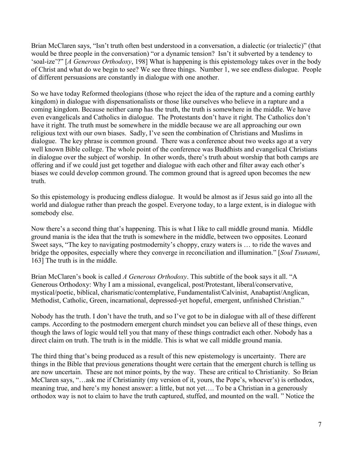Brian McClaren says, "Isn't truth often best understood in a conversation, a dialectic (or trialectic)" (that would be three people in the conversation) "or a dynamic tension? Isn't it subverted by a tendency to 'soal-ize'?" [*A Generous Orthodoxy*, 198] What is happening is this epistemology takes over in the body of Christ and what do we begin to see? We see three things. Number 1, we see endless dialogue. People of different persuasions are constantly in dialogue with one another.

So we have today Reformed theologians (those who reject the idea of the rapture and a coming earthly kingdom) in dialogue with dispensationalists or those like ourselves who believe in a rapture and a coming kingdom. Because neither camp has the truth, the truth is somewhere in the middle. We have even evangelicals and Catholics in dialogue. The Protestants don't have it right. The Catholics don't have it right. The truth must be somewhere in the middle because we are all approaching our own religious text with our own biases. Sadly, I've seen the combination of Christians and Muslims in dialogue. The key phrase is common ground. There was a conference about two weeks ago at a very well known Bible college. The whole point of the conference was Buddhists and evangelical Christians in dialogue over the subject of worship. In other words, there's truth about worship that both camps are offering and if we could just get together and dialogue with each other and filter away each other's biases we could develop common ground. The common ground that is agreed upon becomes the new truth.

So this epistemology is producing endless dialogue. It would be almost as if Jesus said go into all the world and dialogue rather than preach the gospel. Everyone today, to a large extent, is in dialogue with somebody else.

Now there's a second thing that's happening. This is what I like to call middle ground mania. Middle ground mania is the idea that the truth is somewhere in the middle, between two opposites. Leonard Sweet says, "The key to navigating postmodernity's choppy, crazy waters is … to ride the waves and bridge the opposites, especially where they converge in reconciliation and illumination." [*Soul Tsunami*, 163] The truth is in the middle.

Brian McClaren's book is called *A Generous Orthodoxy*. This subtitle of the book says it all. "A Generous Orthodoxy: Why I am a missional, evangelical, post/Protestant, liberal/conservative, mystical/poetic, biblical, charismatic/contemplative, Fundamentalist/Calvinist, Anabaptist/Anglican, Methodist, Catholic, Green, incarnational, depressed-yet hopeful, emergent, unfinished Christian."

Nobody has the truth. I don't have the truth, and so I've got to be in dialogue with all of these different camps. According to the postmodern emergent church mindset you can believe all of these things, even though the laws of logic would tell you that many of these things contradict each other. Nobody has a direct claim on truth. The truth is in the middle. This is what we call middle ground mania.

The third thing that's being produced as a result of this new epistemology is uncertainty. There are things in the Bible that previous generations thought were certain that the emergent church is telling us are now uncertain. These are not minor points, by the way. These are critical to Christianity. So Brian McClaren says, "…ask me if Christianity (my version of it, yours, the Pope's, whoever's) is orthodox, meaning true, and here's my honest answer: a little, but not yet…. To be a Christian in a generously orthodox way is not to claim to have the truth captured, stuffed, and mounted on the wall. " Notice the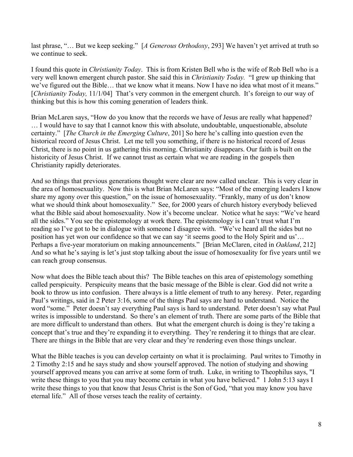last phrase, "… But we keep seeking." [*A Generous Orthodoxy*, 293] We haven't yet arrived at truth so we continue to seek.

I found this quote in *Christianity Today*. This is from Kristen Bell who is the wife of Rob Bell who is a very well known emergent church pastor. She said this in *Christianity Today.* "I grew up thinking that we've figured out the Bible… that we know what it means. Now I have no idea what most of it means." [*Christianity Today,* 11/1/04] That's very common in the emergent church. It's foreign to our way of thinking but this is how this coming generation of leaders think.

Brian McLaren says, "How do you know that the records we have of Jesus are really what happened? … I would have to say that I cannot know this with absolute, undoubtable, unquestionable, absolute certainty." [*The Church in the Emerging Culture*, 201] So here he's calling into question even the historical record of Jesus Christ. Let me tell you something, if there is no historical record of Jesus Christ, there is no point in us gathering this morning. Christianity disappears. Our faith is built on the historicity of Jesus Christ. If we cannot trust as certain what we are reading in the gospels then Christianity rapidly deteriorates.

And so things that previous generations thought were clear are now called unclear. This is very clear in the area of homosexuality. Now this is what Brian McLaren says: "Most of the emerging leaders I know share my agony over this question," on the issue of homosexuality. "Frankly, many of us don't know what we should think about homosexuality." See, for 2000 years of church history everybody believed what the Bible said about homosexuality. Now it's become unclear. Notice what he says: "We've heard all the sides." You see the epistemology at work there. The epistemology is I can't trust what I'm reading so I've got to be in dialogue with someone I disagree with. "We've heard all the sides but no position has yet won our confidence so that we can say 'it seems good to the Holy Spirit and us'… Perhaps a five-year moratorium on making announcements." [Brian McClaren, cited in *Oakland*, 212] And so what he's saying is let's just stop talking about the issue of homosexuality for five years until we can reach group consensus.

Now what does the Bible teach about this? The Bible teaches on this area of epistemology something called perspicuity. Perspicuity means that the basic message of the Bible is clear. God did not write a book to throw us into confusion. There always is a little element of truth to any heresy. Peter, regarding Paul's writings, said in 2 Peter 3:16, some of the things Paul says are hard to understand. Notice the word "some." Peter doesn't say everything Paul says is hard to understand. Peter doesn't say what Paul writes is impossible to understand. So there's an element of truth. There are some parts of the Bible that are more difficult to understand than others. But what the emergent church is doing is they're taking a concept that's true and they're expanding it to everything. They're rendering it to things that are clear. There are things in the Bible that are very clear and they're rendering even those things unclear.

What the Bible teaches is you can develop certainty on what it is proclaiming. Paul writes to Timothy in 2 Timothy 2:15 and he says study and show yourself approved. The notion of studying and showing yourself approved means you can arrive at some form of truth. Luke, in writing to Theophilus says, "I write these things to you that you may become certain in what you have believed." 1 John 5:13 says I write these things to you that know that Jesus Christ is the Son of God, "that you may know you have eternal life." All of those verses teach the reality of certainty.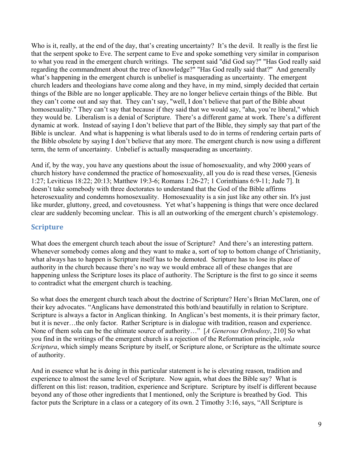Who is it, really, at the end of the day, that's creating uncertainty? It's the devil. It really is the first lie that the serpent spoke to Eve. The serpent came to Eve and spoke something very similar in comparison to what you read in the emergent church writings. The serpent said "did God say?" "Has God really said regarding the commandment about the tree of knowledge?" "Has God really said that?" And generally what's happening in the emergent church is unbelief is masquerading as uncertainty. The emergent church leaders and theologians have come along and they have, in my mind, simply decided that certain things of the Bible are no longer applicable. They are no longer believe certain things of the Bible. But they can't come out and say that. They can't say, "well, I don't believe that part of the Bible about homosexuality." They can't say that because if they said that we would say, "aha, you're liberal," which they would be. Liberalism is a denial of Scripture. There's a different game at work. There's a different dynamic at work. Instead of saying I don't believe that part of the Bible, they simply say that part of the Bible is unclear. And what is happening is what liberals used to do in terms of rendering certain parts of the Bible obsolete by saying I don't believe that any more. The emergent church is now using a different term, the term of uncertainty. Unbelief is actually masquerading as uncertainty.

And if, by the way, you have any questions about the issue of homosexuality, and why 2000 years of church history have condemned the practice of homosexuality, all you do is read these verses, [Genesis 1:27; Leviticus 18:22; 20:13; Matthew 19:3-6; Romans 1:26-27; 1 Corinthians 6:9-11; Jude 7]. It doesn't take somebody with three doctorates to understand that the God of the Bible affirms heterosexuality and condemns homosexuality. Homosexuality is a sin just like any other sin. It's just like murder, gluttony, greed, and covetousness. Yet what's happening is things that were once declared clear are suddenly becoming unclear. This is all an outworking of the emergent church's epistemology.

### **Scripture**

What does the emergent church teach about the issue of Scripture? And there's an interesting pattern. Whenever somebody comes along and they want to make a, sort of top to bottom change of Christianity, what always has to happen is Scripture itself has to be demoted. Scripture has to lose its place of authority in the church because there's no way we would embrace all of these changes that are happening unless the Scripture loses its place of authority. The Scripture is the first to go since it seems to contradict what the emergent church is teaching.

So what does the emergent church teach about the doctrine of Scripture? Here's Brian McClaren, one of their key advocates. "Anglicans have demonstrated this both/and beautifully in relation to Scripture. Scripture is always a factor in Anglican thinking. In Anglican's best moments, it is their primary factor, but it is never…the only factor. Rather Scripture is in dialogue with tradition, reason and experience. None of them sola can be the ultimate source of authority…" [*A Generous Orthodoxy*, 210] So what you find in the writings of the emergent church is a rejection of the Reformation principle, *sola Scriptura*, which simply means Scripture by itself, or Scripture alone, or Scripture as the ultimate source of authority.

And in essence what he is doing in this particular statement is he is elevating reason, tradition and experience to almost the same level of Scripture. Now again, what does the Bible say? What is different on this list: reason, tradition, experience and Scripture. Scripture by itself is different because beyond any of those other ingredients that I mentioned, only the Scripture is breathed by God. This factor puts the Scripture in a class or a category of its own. 2 Timothy 3:16, says, "All Scripture is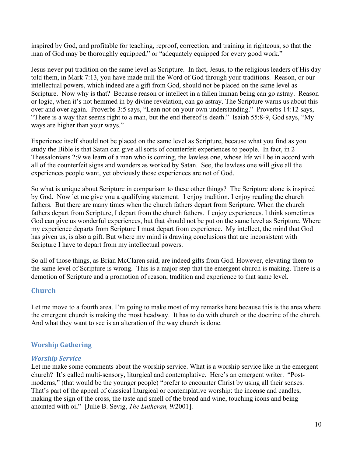inspired by God, and profitable for teaching, reproof, correction, and training in righteous, so that the man of God may be thoroughly equipped," or "adequately equipped for every good work."

Jesus never put tradition on the same level as Scripture. In fact, Jesus, to the religious leaders of His day told them, in Mark 7:13, you have made null the Word of God through your traditions. Reason, or our intellectual powers, which indeed are a gift from God, should not be placed on the same level as Scripture. Now why is that? Because reason or intellect in a fallen human being can go astray. Reason or logic, when it's not hemmed in by divine revelation, can go astray. The Scripture warns us about this over and over again. Proverbs 3:5 says, "Lean not on your own understanding." Proverbs 14:12 says, "There is a way that seems right to a man, but the end thereof is death." Isaiah 55:8-9, God says, "My ways are higher than your ways."

Experience itself should not be placed on the same level as Scripture, because what you find as you study the Bible is that Satan can give all sorts of counterfeit experiences to people. In fact, in 2 Thessalonians 2:9 we learn of a man who is coming, the lawless one, whose life will be in accord with all of the counterfeit signs and wonders as worked by Satan. See, the lawless one will give all the experiences people want, yet obviously those experiences are not of God.

So what is unique about Scripture in comparison to these other things? The Scripture alone is inspired by God. Now let me give you a qualifying statement. I enjoy tradition. I enjoy reading the church fathers. But there are many times when the church fathers depart from Scripture. When the church fathers depart from Scripture, I depart from the church fathers. I enjoy experiences. I think sometimes God can give us wonderful experiences, but that should not be put on the same level as Scripture. Where my experience departs from Scripture I must depart from experience. My intellect, the mind that God has given us, is also a gift. But where my mind is drawing conclusions that are inconsistent with Scripture I have to depart from my intellectual powers.

So all of those things, as Brian McClaren said, are indeed gifts from God. However, elevating them to the same level of Scripture is wrong. This is a major step that the emergent church is making. There is a demotion of Scripture and a promotion of reason, tradition and experience to that same level.

### **Church**

Let me move to a fourth area. I'm going to make most of my remarks here because this is the area where the emergent church is making the most headway. It has to do with church or the doctrine of the church. And what they want to see is an alteration of the way church is done.

### **Worship Gathering**

### *Worship Service*

Let me make some comments about the worship service. What is a worship service like in the emergent church? It's called multi-sensory, liturgical and contemplative. Here's an emergent writer. "Postmoderns," (that would be the younger people) "prefer to encounter Christ by using all their senses. That's part of the appeal of classical liturgical or contemplative worship: the incense and candles, making the sign of the cross, the taste and smell of the bread and wine, touching icons and being anointed with oil" [Julie B. Sevig, *The Lutheran,* 9/2001].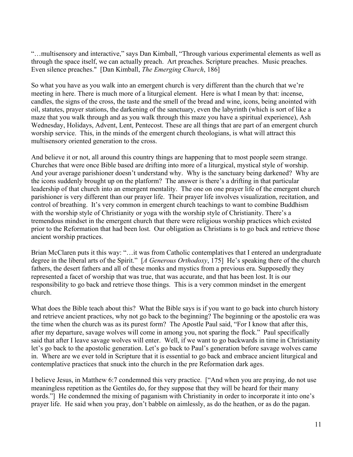"…multisensory and interactive," says Dan Kimball, "Through various experimental elements as well as through the space itself, we can actually preach. Art preaches. Scripture preaches. Music preaches. Even silence preaches." [Dan Kimball, *The Emerging Church*, 186]

So what you have as you walk into an emergent church is very different than the church that we're meeting in here. There is much more of a liturgical element. Here is what I mean by that: incense, candles, the signs of the cross, the taste and the smell of the bread and wine, icons, being anointed with oil, statutes, prayer stations, the darkening of the sanctuary, even the labyrinth (which is sort of like a maze that you walk through and as you walk through this maze you have a spiritual experience), Ash Wednesday, Holidays, Advent, Lent, Pentecost. These are all things that are part of an emergent church worship service. This, in the minds of the emergent church theologians, is what will attract this multisensory oriented generation to the cross.

And believe it or not, all around this country things are happening that to most people seem strange. Churches that were once Bible based are drifting into more of a liturgical, mystical style of worship. And your average parishioner doesn't understand why. Why is the sanctuary being darkened? Why are the icons suddenly brought up on the platform? The answer is there's a drifting in that particular leadership of that church into an emergent mentality. The one on one prayer life of the emergent church parishioner is very different than our prayer life. Their prayer life involves visualization, recitation, and control of breathing. It's very common in emergent church teachings to want to combine Buddhism with the worship style of Christianity or yoga with the worship style of Christianity. There's a tremendous mindset in the emergent church that there were religious worship practices which existed prior to the Reformation that had been lost. Our obligation as Christians is to go back and retrieve those ancient worship practices.

Brian McClaren puts it this way: "…it was from Catholic contemplatives that I entered an undergraduate degree in the liberal arts of the Spirit." [*A Generous Orthodoxy*, 175] He's speaking there of the church fathers, the desert fathers and all of these monks and mystics from a previous era. Supposedly they represented a facet of worship that was true, that was accurate, and that has been lost. It is our responsibility to go back and retrieve those things. This is a very common mindset in the emergent church.

What does the Bible teach about this? What the Bible says is if you want to go back into church history and retrieve ancient practices, why not go back to the beginning? The beginning or the apostolic era was the time when the church was as its purest form? The Apostle Paul said, "For I know that after this, after my departure, savage wolves will come in among you, not sparing the flock." Paul specifically said that after I leave savage wolves will enter. Well, if we want to go backwards in time in Christianity let's go back to the apostolic generation. Let's go back to Paul's generation before savage wolves came in. Where are we ever told in Scripture that it is essential to go back and embrace ancient liturgical and contemplative practices that snuck into the church in the pre Reformation dark ages.

I believe Jesus, in Matthew 6:7 condemned this very practice. ["And when you are praying, do not use meaningless repetition as the Gentiles do, for they suppose that they will be heard for their many words."] He condemned the mixing of paganism with Christianity in order to incorporate it into one's prayer life. He said when you pray, don't babble on aimlessly, as do the heathen, or as do the pagan.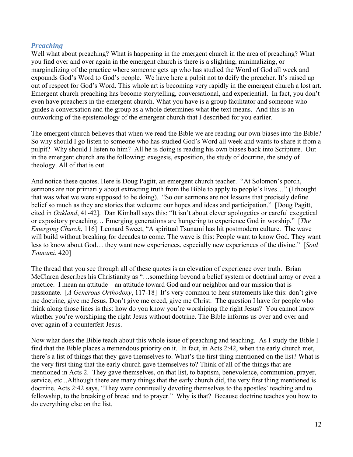#### *Preaching*

Well what about preaching? What is happening in the emergent church in the area of preaching? What you find over and over again in the emergent church is there is a slighting, minimalizing, or marginalizing of the practice where someone gets up who has studied the Word of God all week and expounds God's Word to God's people. We have here a pulpit not to deify the preacher. It's raised up out of respect for God's Word. This whole art is becoming very rapidly in the emergent church a lost art. Emergent church preaching has become storytelling, conversational, and experiential. In fact, you don't even have preachers in the emergent church. What you have is a group facilitator and someone who guides a conversation and the group as a whole determines what the text means. And this is an outworking of the epistemology of the emergent church that I described for you earlier.

The emergent church believes that when we read the Bible we are reading our own biases into the Bible? So why should I go listen to someone who has studied God's Word all week and wants to share it from a pulpit? Why should I listen to him? All he is doing is reading his own biases back into Scripture. Out in the emergent church are the following: exegesis, exposition, the study of doctrine, the study of theology. All of that is out.

And notice these quotes. Here is Doug Pagitt, an emergent church teacher. "At Solomon's porch, sermons are not primarily about extracting truth from the Bible to apply to people's lives..." (I thought that was what we were supposed to be doing). "So our sermons are not lessons that precisely define belief so much as they are stories that welcome our hopes and ideas and participation." [Doug Pagitt, cited in *Oakland*, 41-42]. Dan Kimball says this: "It isn't about clever apologetics or careful exegetical or expository preaching… Emerging generations are hungering to experience God in worship." [*The Emerging Church*, 116] Leonard Sweet, "A spiritual Tsunami has hit postmodern culture. The wave will build without breaking for decades to come. The wave is this: People want to know God. They want less to know about God… they want new experiences, especially new experiences of the divine." [*Soul Tsunami*, 420]

The thread that you see through all of these quotes is an elevation of experience over truth. Brian McClaren describes his Christianity as "…something beyond a belief system or doctrinal array or even a practice. I mean an attitude—an attitude toward God and our neighbor and our mission that is passionate. [*A Generous Orthodoxy*, 117-18] It's very common to hear statements like this: don't give me doctrine, give me Jesus. Don't give me creed, give me Christ. The question I have for people who think along those lines is this: how do you know you're worshiping the right Jesus? You cannot know whether you're worshiping the right Jesus without doctrine. The Bible informs us over and over and over again of a counterfeit Jesus.

Now what does the Bible teach about this whole issue of preaching and teaching. As I study the Bible I find that the Bible places a tremendous priority on it. In fact, in Acts 2:42, when the early church met, there's a list of things that they gave themselves to. What's the first thing mentioned on the list? What is the very first thing that the early church gave themselves to? Think of all of the things that are mentioned in Acts 2. They gave themselves, on that list, to baptism, benevolence, communion, prayer, service, etc...Although there are many things that the early church did, the very first thing mentioned is doctrine. Acts 2:42 says, "They were continually devoting themselves to the apostles' teaching and to fellowship, to the breaking of bread and to prayer." Why is that? Because doctrine teaches you how to do everything else on the list.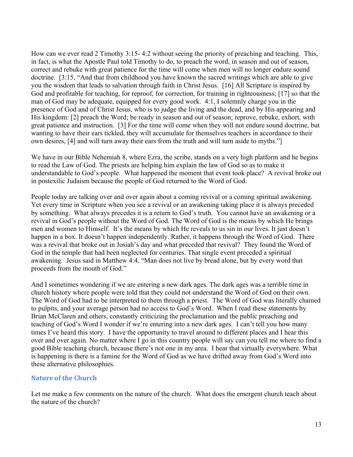How can we ever read 2 Timothy 3:15- 4:2 without seeing the priority of preaching and teaching. This, in fact, is what the Apostle Paul told Timothy to do, to preach the word, in season and out of season, correct and rebuke with great patience for the time will come when men will no longer endure sound doctrine. [3:15, "And that from childhood you have known the sacred writings which are able to give you the wisdom that leads to salvation through faith in Christ Jesus. [16] All Scripture is inspired by God and profitable for teaching, for reproof, for correction, for training in righteousness; [17] so that the man of God may be adequate, equipped for every good work. 4:1, I solemnly charge you in the presence of God and of Christ Jesus, who is to judge the living and the dead, and by His appearing and His kingdom: [2] preach the Word; be ready in season and out of season; reprove, rebuke, exhort, with great patience and instruction. [3] For the time will come when they will not endure sound doctrine, but wanting to have their ears tickled, they will accumulate for themselves teachers in accordance to their own desires, [4] and will turn away their ears from the truth and will turn aside to myths."]

We have in our Bible Nehemiah 8, where Ezra, the scribe, stands on a very high platform and he begins to read the Law of God. The priests are helping him explain the law of God so as to make it understandable to God's people. What happened the moment that event took place? A revival broke out in postexilic Judaism because the people of God returned to the Word of God.

People today are talking over and over again about a coming revival or a coming spiritual awakening. Yet every time in Scripture when you see a revival or an awakening taking place it is always preceded by something. What always precedes it is a return to God's truth. You cannot have an awakening or a revival in God's people without the Word of God. The Word of God is the means by which He brings men and women to Himself. It's the means by which He reveals to us sin in our lives. It just doesn't happen in a box. It doesn't happen independently. Rather, it happens through the Word of God. There was a revival that broke out in Josiah's day and what preceded that revival? They found the Word of God in the temple that had been neglected for centuries. That single event preceded a spiritual awakening. Jesus said in Matthew 4:4, "Man does not live by bread alone, but by every word that proceeds from the mouth of God."

And I sometimes wondering if we are entering a new dark ages. The dark ages was a terrible time in church history where people were told that they could not understand the Word of God on their own. The Word of God had to be interpreted to them through a priest. The Word of God was literally chained to pulpits, and your average person had no access to God's Word. When I read these statements by Brian McClaren and others, constantly criticizing the proclamation and the public preaching and teaching of God's Word I wonder if we're entering into a new dark ages. I can't tell you how many times I've heard this story. I have the opportunity to travel around to different places and I hear this over and over again. No matter where I go in this country people will say can you tell me where to find a good Bible teaching church, because there's not one in my area. I hear that virtually everywhere. What is happening is there is a famine for the Word of God as we have drifted away from God's Word into these alternative philosophies.

### **Nature of the Church**

Let me make a few comments on the nature of the church. What does the emergent church teach about the nature of the church?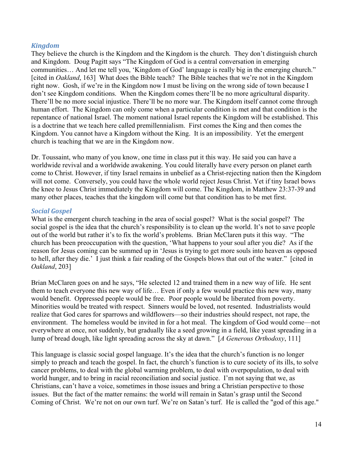#### *Kingdom*

They believe the church is the Kingdom and the Kingdom is the church. They don't distinguish church and Kingdom. Doug Pagitt says "The Kingdom of God is a central conversation in emerging communities… And let me tell you, 'Kingdom of God' language is really big in the emerging church." [cited in *Oakland*, 163] What does the Bible teach? The Bible teaches that we're not in the Kingdom right now. Gosh, if we're in the Kingdom now I must be living on the wrong side of town because I don't see Kingdom conditions. When the Kingdom comes there'll be no more agricultural disparity. There'll be no more social injustice. There'll be no more war. The Kingdom itself cannot come through human effort. The Kingdom can only come when a particular condition is met and that condition is the repentance of national Israel. The moment national Israel repents the Kingdom will be established. This is a doctrine that we teach here called premillennialism. First comes the King and then comes the Kingdom. You cannot have a Kingdom without the King. It is an impossibility. Yet the emergent church is teaching that we are in the Kingdom now.

Dr. Toussaint, who many of you know, one time in class put it this way. He said you can have a worldwide revival and a worldwide awakening. You could literally have every person on planet earth come to Christ. However, if tiny Israel remains in unbelief as a Christ-rejecting nation then the Kingdom will not come. Conversely, you could have the whole world reject Jesus Christ. Yet if tiny Israel bows the knee to Jesus Christ immediately the Kingdom will come. The Kingdom, in Matthew 23:37-39 and many other places, teaches that the kingdom will come but that condition has to be met first.

#### *Social Gospel*

What is the emergent church teaching in the area of social gospel? What is the social gospel? The social gospel is the idea that the church's responsibility is to clean up the world. It's not to save people out of the world but rather it's to fix the world's problems. Brian McClaren puts it this way. "The church has been preoccupation with the question, 'What happens to your soul after you die? As if the reason for Jesus coming can be summed up in 'Jesus is trying to get more souls into heaven as opposed to hell, after they die.' I just think a fair reading of the Gospels blows that out of the water." [cited in *Oakland*, 203]

Brian McClaren goes on and he says, "He selected 12 and trained them in a new way of life. He sent them to teach everyone this new way of life… Even if only a few would practice this new way, many would benefit. Oppressed people would be free. Poor people would be liberated from poverty. Minorities would be treated with respect. Sinners would be loved, not resented. Industrialists would realize that God cares for sparrows and wildflowers—so their industries should respect, not rape, the environment. The homeless would be invited in for a hot meal. The kingdom of God would come—not everywhere at once, not suddenly, but gradually like a seed growing in a field, like yeast spreading in a lump of bread dough, like light spreading across the sky at dawn." [*A Generous Orthodoxy*, 111]

This language is classic social gospel language. It's the idea that the church's function is no longer simply to preach and teach the gospel. In fact, the church's function is to cure society of its ills, to solve cancer problems, to deal with the global warming problem, to deal with overpopulation, to deal with world hunger, and to bring in racial reconciliation and social justice. I'm not saying that we, as Christians, can't have a voice, sometimes in those issues and bring a Christian perspective to those issues. But the fact of the matter remains: the world will remain in Satan's grasp until the Second Coming of Christ. We're not on our own turf. We're on Satan's turf. He is called the "god of this age."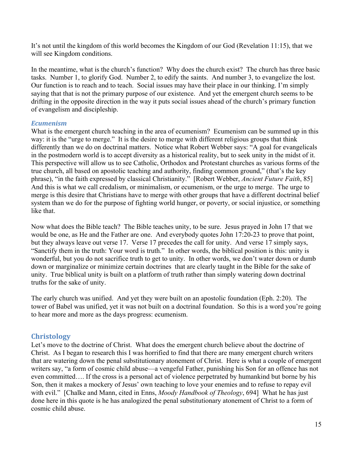It's not until the kingdom of this world becomes the Kingdom of our God (Revelation 11:15), that we will see Kingdom conditions.

In the meantime, what is the church's function? Why does the church exist? The church has three basic tasks. Number 1, to glorify God. Number 2, to edify the saints. And number 3, to evangelize the lost. Our function is to reach and to teach. Social issues may have their place in our thinking. I'm simply saying that that is not the primary purpose of our existence. And yet the emergent church seems to be drifting in the opposite direction in the way it puts social issues ahead of the church's primary function of evangelism and discipleship.

### *Ecumenism*

What is the emergent church teaching in the area of ecumenism? Ecumenism can be summed up in this way: it is the "urge to merge." It is the desire to merge with different religious groups that think differently than we do on doctrinal matters. Notice what Robert Webber says: "A goal for evangelicals in the postmodern world is to accept diversity as a historical reality, but to seek unity in the midst of it. This perspective will allow us to see Catholic, Orthodox and Protestant churches as various forms of the true church, all based on apostolic teaching and authority, finding common ground," (that's the key phrase), "in the faith expressed by classical Christianity." [Robert Webber, *Ancient Future Faith*, 85] And this is what we call credalism, or minimalism, or ecumenism, or the urge to merge. The urge to merge is this desire that Christians have to merge with other groups that have a different doctrinal belief system than we do for the purpose of fighting world hunger, or poverty, or social injustice, or something like that.

Now what does the Bible teach? The Bible teaches unity, to be sure. Jesus prayed in John 17 that we would be one, as He and the Father are one. And everybody quotes John 17:20-23 to prove that point, but they always leave out verse 17. Verse 17 precedes the call for unity. And verse 17 simply says, "Sanctify them in the truth: Your word is truth." In other words, the biblical position is this: unity is wonderful, but you do not sacrifice truth to get to unity. In other words, we don't water down or dumb down or marginalize or minimize certain doctrines that are clearly taught in the Bible for the sake of unity. True biblical unity is built on a platform of truth rather than simply watering down doctrinal truths for the sake of unity.

The early church was unified. And yet they were built on an apostolic foundation (Eph. 2:20). The tower of Babel was unified, yet it was not built on a doctrinal foundation. So this is a word you're going to hear more and more as the days progress: ecumenism.

### **Christology**

Let's move to the doctrine of Christ. What does the emergent church believe about the doctrine of Christ. As I began to research this I was horrified to find that there are many emergent church writers that are watering down the penal substitutionary atonement of Christ. Here is what a couple of emergent writers say, "a form of cosmic child abuse—a vengeful Father, punishing his Son for an offence has not even committed…. If the cross is a personal act of violence perpetrated by humankind but borne by his Son, then it makes a mockery of Jesus' own teaching to love your enemies and to refuse to repay evil with evil." [Chalke and Mann, cited in Enns, *Moody Handbook of Theology*, 694] What he has just done here in this quote is he has analogized the penal substitutionary atonement of Christ to a form of cosmic child abuse.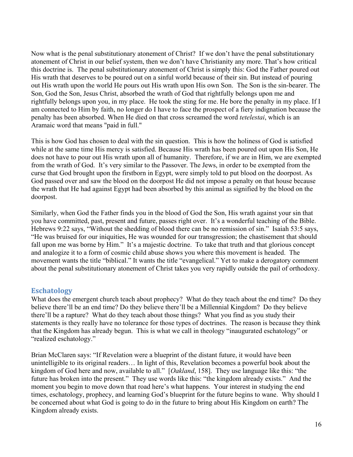Now what is the penal substitutionary atonement of Christ? If we don't have the penal substitutionary atonement of Christ in our belief system, then we don't have Christianity any more. That's how critical this doctrine is. The penal substitutionary atonement of Christ is simply this: God the Father poured out His wrath that deserves to be poured out on a sinful world because of their sin. But instead of pouring out His wrath upon the world He pours out His wrath upon His own Son. The Son is the sin-bearer. The Son, God the Son, Jesus Christ, absorbed the wrath of God that rightfully belongs upon me and rightfully belongs upon you, in my place. He took the sting for me. He bore the penalty in my place. If I am connected to Him by faith, no longer do I have to face the prospect of a fiery indignation because the penalty has been absorbed. When He died on that cross screamed the word *tetelestai*, which is an Aramaic word that means "paid in full."

This is how God has chosen to deal with the sin question. This is how the holiness of God is satisfied while at the same time His mercy is satisfied. Because His wrath has been poured out upon His Son, He does not have to pour out His wrath upon all of humanity. Therefore, if we are in Him, we are exempted from the wrath of God. It's very similar to the Passover. The Jews, in order to be exempted from the curse that God brought upon the firstborn in Egypt, were simply told to put blood on the doorpost. As God passed over and saw the blood on the doorpost He did not impose a penalty on that house because the wrath that He had against Egypt had been absorbed by this animal as signified by the blood on the doorpost.

Similarly, when God the Father finds you in the blood of God the Son, His wrath against your sin that you have committed, past, present and future, passes right over. It's a wonderful teaching of the Bible. Hebrews 9:22 says, "Without the shedding of blood there can be no remission of sin." Isaiah 53:5 says, "He was bruised for our iniquities, He was wounded for our transgression; the chastisement that should fall upon me was borne by Him." It's a majestic doctrine. To take that truth and that glorious concept and analogize it to a form of cosmic child abuse shows you where this movement is headed. The movement wants the title "biblical." It wants the title "evangelical." Yet to make a derogatory comment about the penal substitutionary atonement of Christ takes you very rapidly outside the pail of orthodoxy.

### **Eschatology**

What does the emergent church teach about prophecy? What do they teach about the end time? Do they believe there'll be an end time? Do they believe there'll be a Millennial Kingdom? Do they believe there'll be a rapture? What do they teach about those things? What you find as you study their statements is they really have no tolerance for those types of doctrines. The reason is because they think that the Kingdom has already begun. This is what we call in theology "inaugurated eschatology" or "realized eschatology."

Brian McClaren says: "If Revelation were a blueprint of the distant future, it would have been unintelligible to its original readers… In light of this, Revelation becomes a powerful book about the kingdom of God here and now, available to all." [*Oakland*, 158]. They use language like this: "the future has broken into the present." They use words like this: "the kingdom already exists." And the moment you begin to move down that road here's what happens. Your interest in studying the end times, eschatology, prophecy, and learning God's blueprint for the future begins to wane. Why should I be concerned about what God is going to do in the future to bring about His Kingdom on earth? The Kingdom already exists.